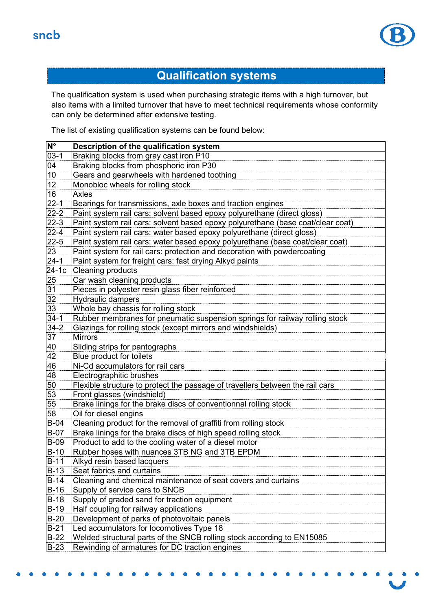

## **Qualification systems**

The qualification system is used when purchasing strategic items with a high turnover, but also items with a limited turnover that have to meet technical requirements whose conformity can only be determined after extensive testing.

The list of existing qualification systems can be found below:

| $N^{\circ}$     | Description of the qualification system                                         |
|-----------------|---------------------------------------------------------------------------------|
| $03-1$          | Braking blocks from gray cast iron P10                                          |
| 04              | Braking blocks from phosphoric iron P30                                         |
| 10 <sup>°</sup> | Gears and gearwheels with hardened toothing                                     |
| 12              | Monobloc wheels for rolling stock                                               |
| 16              | <b>Axles</b>                                                                    |
| $22 - 1$        | Bearings for transmissions, axle boxes and traction engines                     |
| $22-2$          | Paint system rail cars: solvent based epoxy polyurethane (direct gloss)         |
| $22-3$          | Paint system rail cars: solvent based epoxy polyurethane (base coat/clear coat) |
| $22 - 4$        | Paint system rail cars: water based epoxy polyurethane (direct gloss)           |
| $22 - 5$        | Paint system rail cars: water based epoxy polyurethane (base coat/clear coat)   |
| 23              | Paint system for rail cars: protection and decoration with powdercoating        |
| $24-1$          | Paint system for freight cars: fast drying Alkyd paints                         |
| 24-1c           | <b>Cleaning products</b>                                                        |
| 25              | Car wash cleaning products                                                      |
| 31              | Pieces in polyester resin glass fiber reinforced                                |
| 32              | <b>Hydraulic dampers</b>                                                        |
| 33              | Whole bay chassis for rolling stock                                             |
| $34-1$          | Rubber membranes for pneumatic suspension springs for railway rolling stock     |
| $34 - 2$        | Glazings for rolling stock (except mirrors and windshields)                     |
| 37              | <b>Mirrors</b>                                                                  |
| 40              | Sliding strips for pantographs                                                  |
| 42              | Blue product for toilets                                                        |
| 46              | Ni-Cd accumulators for rail cars                                                |
| 48              | Electrographitic brushes                                                        |
| 50              | Flexible structure to protect the passage of travellers between the rail cars   |
| 53              | Front glasses (windshield)                                                      |
| 55              | Brake linings for the brake discs of conventionnal rolling stock                |
| 58              | Oil for diesel engins                                                           |
| $B-04$          | Cleaning product for the removal of graffiti from rolling stock                 |
| <b>B-07</b>     | Brake linings for the brake discs of high speed rolling stock                   |
| <b>B-09</b>     | Product to add to the cooling water of a diesel motor                           |
| $B-10$          | Rubber hoses with nuances 3TB NG and 3TB EPDM                                   |
| $B-11$          | Alkyd resin based lacquers                                                      |
| B-13            | Seat fabrics and curtains                                                       |
| $B-14$          | Cleaning and chemical maintenance of seat covers and curtains                   |
| $B-16$          | Supply of service cars to SNCB                                                  |
| $B-18$          | Supply of graded sand for traction equipment                                    |
| $B-19$          | Half coupling for railway applications                                          |
| $B-20$          | Development of parks of photovoltaic panels                                     |
| $B-21$          | Led accumulators for locomotives Type 18                                        |
| $B-22$          | Welded structural parts of the SNCB rolling stock according to EN15085          |
| $B-23$          | Rewinding of armatures for DC traction engines                                  |
|                 |                                                                                 |